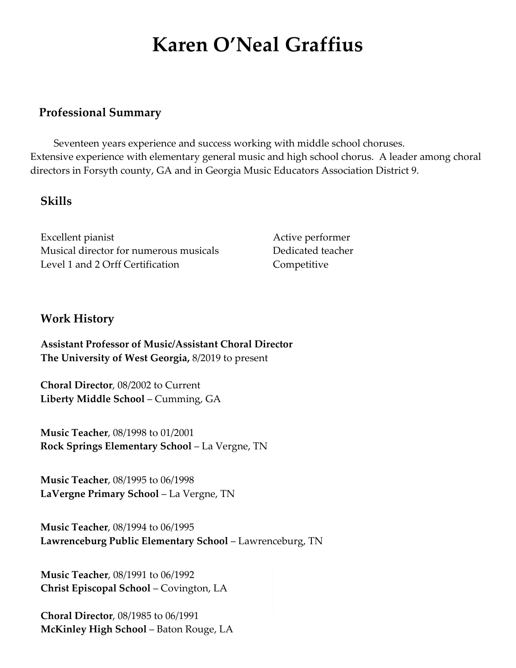# **Karen O'Neal Graffius**

#### **Professional Summary**

Seventeen years experience and success working with middle school choruses. Extensive experience with elementary general music and high school chorus. A leader among choral directors in Forsyth county, GA and in Georgia Music Educators Association District 9.

#### **Skills**

Excellent pianist Active performer Musical director for numerous musicals Dedicated teacher Level 1 and 2 Orff Certification Competitive

#### **Work History**

**Assistant Professor of Music/Assistant Choral Director The University of West Georgia,** 8/2019 to present

**Choral Director**, 08/2002 to Current **Liberty Middle School** – Cumming, GA

**Music Teacher**, 08/1998 to 01/2001 **Rock Springs Elementary School** – La Vergne, TN

**Music Teacher**, 08/1995 to 06/1998 **LaVergne Primary School** – La Vergne, TN

**Music Teacher**, 08/1994 to 06/1995 **Lawrenceburg Public Elementary School** – Lawrenceburg, TN

**Music Teacher**, 08/1991 to 06/1992 **Christ Episcopal School** – Covington, LA

**Choral Director**, 08/1985 to 06/1991 **McKinley High School** – Baton Rouge, LA